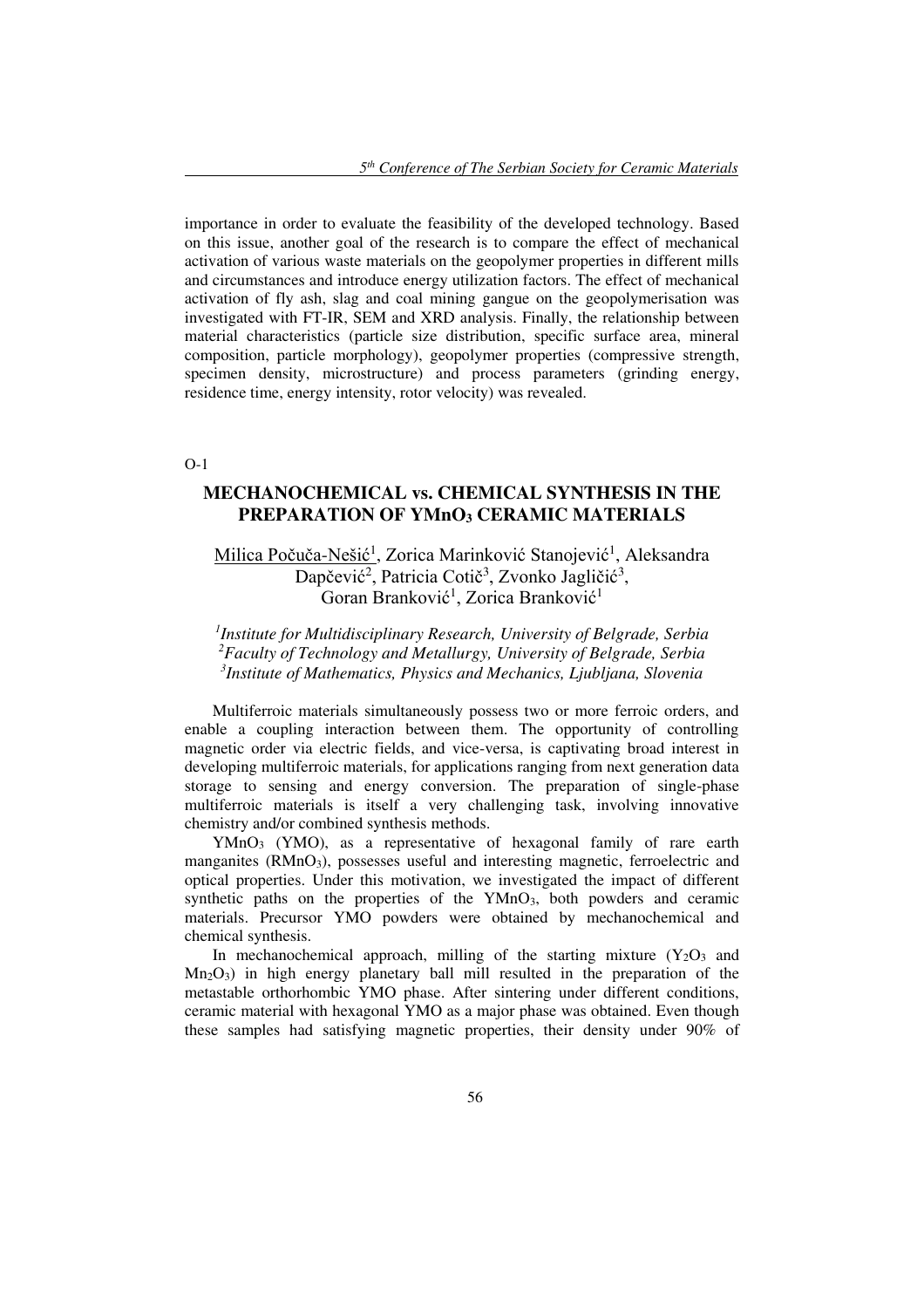importance in order to evaluate the feasibility of the developed technology. Based on this issue, another goal of the research is to compare the effect of mechanical activation of various waste materials on the geopolymer properties in different mills and circumstances and introduce energy utilization factors. The effect of mechanical activation of fly ash, slag and coal mining gangue on the geopolymerisation was investigated with FT-IR, SEM and XRD analysis. Finally, the relationship between material characteristics (particle size distribution, specific surface area, mineral composition, particle morphology), geopolymer properties (compressive strength, specimen density, microstructure) and process parameters (grinding energy, residence time, energy intensity, rotor velocity) was revealed.

O-1

## **MECHANOCHEMICAL vs. CHEMICAL SYNTHESIS IN THE PREPARATION OF YMnO3 CERAMIC MATERIALS**

Milica Počuča-Nešić<sup>1</sup>, Zorica Marinković Stanojević<sup>1</sup>, Aleksandra Dapčević<sup>2</sup>, Patricia Cotič<sup>3</sup>, Zvonko Jagličić<sup>3</sup>, Goran Branković<sup>1</sup>, Zorica Branković<sup>1</sup>

## *1 Institute for Multidisciplinary Research, University of Belgrade, Serbia <sup>2</sup>Faculty of Technology and Metallurgy, University of Belgrade, Serbia 3 Institute of Mathematics, Physics and Mechanics, Ljubljana, Slovenia*

Multiferroic materials simultaneously possess two or more ferroic orders, and enable a coupling interaction between them. The opportunity of controlling magnetic order via electric fields, and vice-versa, is captivating broad interest in developing multiferroic materials, for applications ranging from next generation data storage to sensing and energy conversion. The preparation of single-phase multiferroic materials is itself a very challenging task, involving innovative chemistry and/or combined synthesis methods.

YMnO<sub>3</sub> (YMO), as a representative of hexagonal family of rare earth manganites (RMnO<sub>3</sub>), possesses useful and interesting magnetic, ferroelectric and optical properties. Under this motivation, we investigated the impact of different synthetic paths on the properties of the  $YMnO<sub>3</sub>$ , both powders and ceramic materials. Precursor YMO powders were obtained by mechanochemical and chemical synthesis.

In mechanochemical approach, milling of the starting mixture  $(Y_2O_3)$  and  $Mn<sub>2</sub>O<sub>3</sub>$  in high energy planetary ball mill resulted in the preparation of the metastable orthorhombic YMO phase. After sintering under different conditions, ceramic material with hexagonal YMO as a major phase was obtained. Even though these samples had satisfying magnetic properties, their density under 90% of